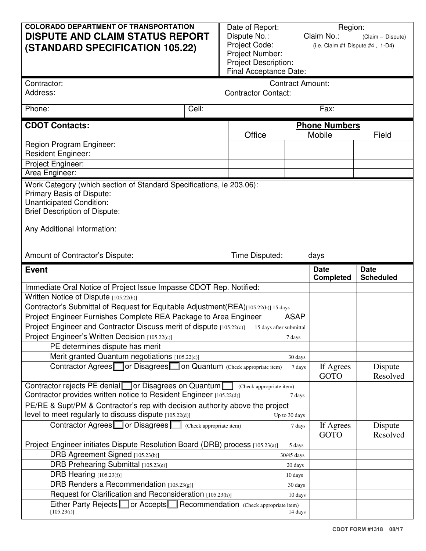| <b>COLORADO DEPARTMENT OF TRANSPORTATION</b><br><b>DISPUTE AND CLAIM STATUS REPORT</b><br><b>(STANDARD SPECIFICATION 105.22)</b>                                                          |       | Date of Report:<br>Dispute No.:<br>Project Code:<br>Project Number:<br><b>Project Description:</b><br>Final Acceptance Date: |               | Region:<br>Claim No.:<br>(Claim - Dispute)<br>(i.e. Claim #1 Dispute #4, 1-D4) |                                 |  |
|-------------------------------------------------------------------------------------------------------------------------------------------------------------------------------------------|-------|------------------------------------------------------------------------------------------------------------------------------|---------------|--------------------------------------------------------------------------------|---------------------------------|--|
| Contractor:                                                                                                                                                                               |       | <b>Contract Amount:</b>                                                                                                      |               |                                                                                |                                 |  |
| Address:                                                                                                                                                                                  |       | <b>Contractor Contact:</b>                                                                                                   |               |                                                                                |                                 |  |
| Phone:                                                                                                                                                                                    | Cell: |                                                                                                                              |               | Fax:                                                                           |                                 |  |
| <b>CDOT Contacts:</b>                                                                                                                                                                     |       |                                                                                                                              |               | <b>Phone Numbers</b>                                                           |                                 |  |
|                                                                                                                                                                                           |       | Office                                                                                                                       |               | Mobile                                                                         | Field                           |  |
| Region Program Engineer:                                                                                                                                                                  |       |                                                                                                                              |               |                                                                                |                                 |  |
| <b>Resident Engineer:</b>                                                                                                                                                                 |       |                                                                                                                              |               |                                                                                |                                 |  |
| Project Engineer:                                                                                                                                                                         |       |                                                                                                                              |               |                                                                                |                                 |  |
| Area Engineer:                                                                                                                                                                            |       |                                                                                                                              |               |                                                                                |                                 |  |
| Primary Basis of Dispute:<br>Unanticipated Condition:<br><b>Brief Description of Dispute:</b><br>Any Additional Information:<br>Time Disputed:<br>Amount of Contractor's Dispute:<br>days |       |                                                                                                                              |               |                                                                                |                                 |  |
| <b>Event</b>                                                                                                                                                                              |       |                                                                                                                              |               | <b>Date</b><br><b>Completed</b>                                                | <b>Date</b><br><b>Scheduled</b> |  |
| Immediate Oral Notice of Project Issue Impasse CDOT Rep. Notified:                                                                                                                        |       |                                                                                                                              |               |                                                                                |                                 |  |
| Written Notice of Dispute [105.22(b)]                                                                                                                                                     |       |                                                                                                                              |               |                                                                                |                                 |  |
| Contractor's Submittal of Request for Equitable Adjustment(REA)[105.22(b)] 15 days                                                                                                        |       |                                                                                                                              |               |                                                                                |                                 |  |
| Project Engineer Furnishes Complete REA Package to Area Engineer<br><b>ASAP</b>                                                                                                           |       |                                                                                                                              |               |                                                                                |                                 |  |
| Project Engineer and Contractor Discuss merit of dispute [105.22(c)]<br>15 days after submittal                                                                                           |       |                                                                                                                              |               |                                                                                |                                 |  |
| Project Engineer's Written Decision [105.22(c)]<br>7 days                                                                                                                                 |       |                                                                                                                              |               |                                                                                |                                 |  |
| PE determines dispute has merit                                                                                                                                                           |       |                                                                                                                              |               |                                                                                |                                 |  |
| Merit granted Quantum negotiations [105.22(c)]                                                                                                                                            |       |                                                                                                                              | 30 days       |                                                                                |                                 |  |
| Contractor Agrees or Disagrees on Quantum (Check appropriate item)<br>7 days                                                                                                              |       |                                                                                                                              |               | If Agrees<br><b>GOTO</b>                                                       | Dispute<br>Resolved             |  |
| Contractor rejects PE denial $\Box$ or Disagrees on Quantum $\Box$ (Check appropriate item)<br>Contractor provides written notice to Resident Engineer [105.22(d)]<br>7 days              |       |                                                                                                                              |               |                                                                                |                                 |  |
| PE/RE & Supt/PM & Contractor's rep with decision authority above the project                                                                                                              |       |                                                                                                                              |               |                                                                                |                                 |  |
| level to meet regularly to discuss dispute $[105.22(d)]$                                                                                                                                  |       |                                                                                                                              | Up to 30 days |                                                                                |                                 |  |
| Contractor Agrees or Disagrees Contractor Agrees<br>7 days                                                                                                                                |       |                                                                                                                              |               | If Agrees<br><b>GOTO</b>                                                       | Dispute<br>Resolved             |  |
| Project Engineer initiates Dispute Resolution Board (DRB) process [105.23(a)]<br>5 days                                                                                                   |       |                                                                                                                              |               |                                                                                |                                 |  |
| DRB Agreement Signed [105.23(b)]<br>30/45 days                                                                                                                                            |       |                                                                                                                              |               |                                                                                |                                 |  |
| DRB Prehearing Submittal [105.23(e)]<br>20 days                                                                                                                                           |       |                                                                                                                              |               |                                                                                |                                 |  |
| DRB Hearing [105.23(f)]<br>10 days                                                                                                                                                        |       |                                                                                                                              |               |                                                                                |                                 |  |
| DRB Renders a Recommendation [105.23(g)]<br>30 days                                                                                                                                       |       |                                                                                                                              |               |                                                                                |                                 |  |
| Request for Clarification and Reconsideration [105.23(h)]<br>10 days                                                                                                                      |       |                                                                                                                              |               |                                                                                |                                 |  |
| Either Party Rejects or Accepts Recommendation (Check appropriate item)<br>[105.23(i)]<br>14 days                                                                                         |       |                                                                                                                              |               |                                                                                |                                 |  |